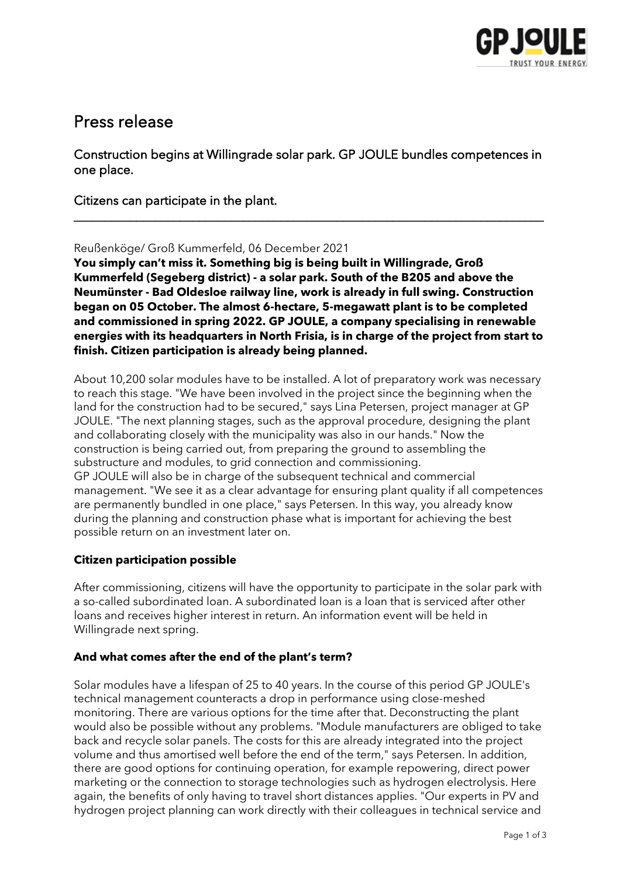

# Press release

Construction begins at Willingrade solar park. GP JOULE bundles competences in one place.

\_\_\_\_\_\_\_\_\_\_\_\_\_\_\_\_\_\_\_\_\_\_\_\_\_\_\_\_\_\_\_\_\_\_\_\_\_\_\_\_\_\_\_\_\_\_\_\_\_\_\_\_\_\_\_\_\_\_\_\_\_\_\_\_\_\_\_\_\_\_\_\_\_\_\_

Citizens can participate in the plant.

#### Reußenköge/ Groß Kummerfeld, 06 December 2021

**You simply can't miss it. Something big is being built in Willingrade, Groß Kummerfeld (Segeberg district) - a solar park. South of the B205 and above the Neumünster - Bad Oldesloe railway line, work is already in full swing. Construction began on 05 October. The almost 6-hectare, 5-megawatt plant is to be completed and commissioned in spring 2022. GP JOULE, a company specialising in renewable energies with its headquarters in North Frisia, is in charge of the project from start to finish. Citizen participation is already being planned.**

About 10,200 solar modules have to be installed. A lot of preparatory work was necessary to reach this stage. "We have been involved in the project since the beginning when the land for the construction had to be secured," says Lina Petersen, project manager at GP JOULE. "The next planning stages, such as the approval procedure, designing the plant and collaborating closely with the municipality was also in our hands." Now the construction is being carried out, from preparing the ground to assembling the substructure and modules, to grid connection and commissioning. GP JOULE will also be in charge of the subsequent technical and commercial management. "We see it as a clear advantage for ensuring plant quality if all competences are permanently bundled in one place," says Petersen. In this way, you already know during the planning and construction phase what is important for achieving the best possible return on an investment later on.

### **Citizen participation possible**

After commissioning, citizens will have the opportunity to participate in the solar park with a so-called subordinated loan. A subordinated loan is a loan that is serviced after other loans and receives higher interest in return. An information event will be held in Willingrade next spring.

### **And what comes after the end of the plant's term?**

Solar modules have a lifespan of 25 to 40 years. In the course of this period GP JOULE's technical management counteracts a drop in performance using close-meshed monitoring. There are various options for the time after that. Deconstructing the plant would also be possible without any problems. "Module manufacturers are obliged to take back and recycle solar panels. The costs for this are already integrated into the project volume and thus amortised well before the end of the term," says Petersen. In addition, there are good options for continuing operation, for example repowering, direct power marketing or the connection to storage technologies such as hydrogen electrolysis. Here again, the benefits of only having to travel short distances applies. "Our experts in PV and hydrogen project planning can work directly with their colleagues in technical service and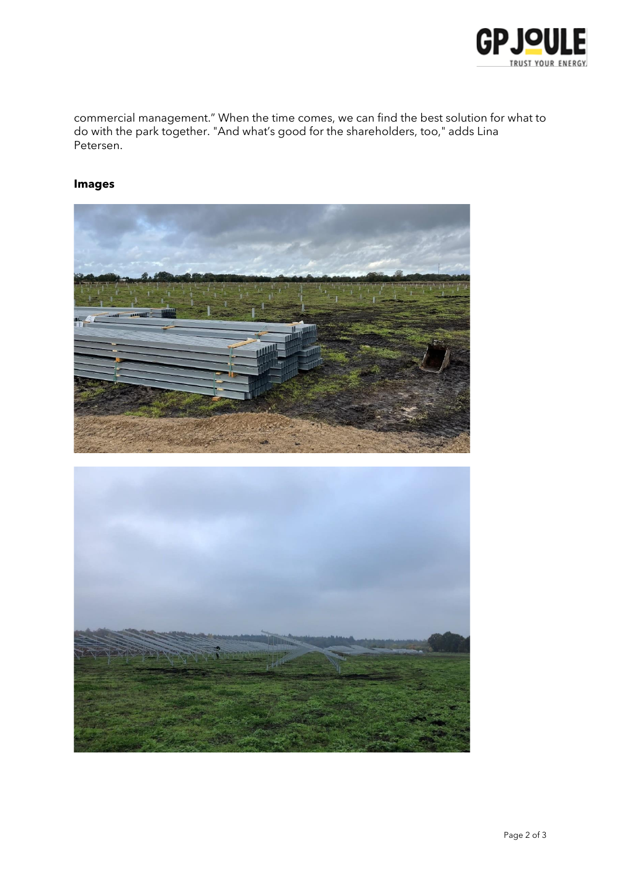

commercial management." When the time comes, we can find the best solution for what to do with the park together. "And what's good for the shareholders, too," adds Lina Petersen.

## **Images**